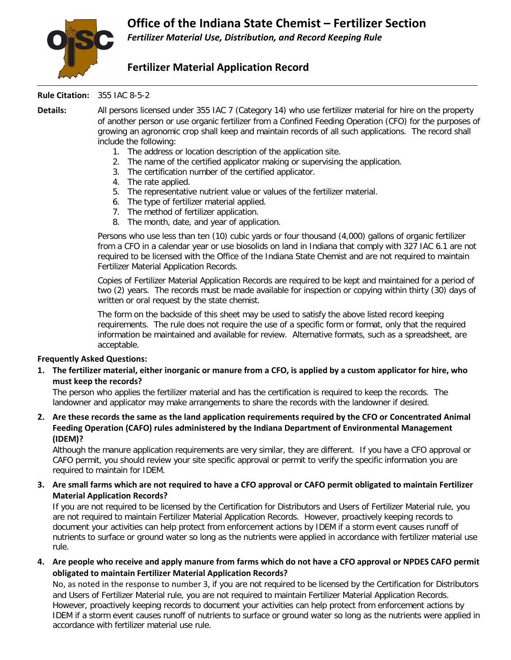

## **Fertilizer Material Application Record**

## **Rule Citation:** 355 IAC 8-5-2

**Details:** All persons licensed under 355 IAC 7 (Category 14) who use fertilizer material for hire on the property of another person or use organic fertilizer from a Confined Feeding Operation (CFO) for the purposes of growing an agronomic crop shall keep and maintain records of all such applications. The record shall include the following:

- 1. The address or location description of the application site.
- 2. The name of the certified applicator making or supervising the application.
- 3. The certification number of the certified applicator.
- 4. The rate applied.
- 5. The representative nutrient value or values of the fertilizer material.
- 6. The type of fertilizer material applied.
- 7. The method of fertilizer application.
- 8. The month, date, and year of application.

Persons who use less than ten (10) cubic yards or four thousand (4,000) gallons of organic fertilizer from a CFO in a calendar year or use biosolids on land in Indiana that comply with 327 IAC 6.1 are not required to be licensed with the Office of the Indiana State Chemist and are not required to maintain Fertilizer Material Application Records.

Copies of Fertilizer Material Application Records are required to be kept and maintained for a period of two (2) years. The records must be made available for inspection or copying within thirty (30) days of written or oral request by the state chemist.

The form on the backside of this sheet may be used to satisfy the above listed record keeping requirements. The rule does not require the use of a specific form or format, only that the required information be maintained and available for review. Alternative formats, such as a spreadsheet, are acceptable.

## **Frequently Asked Questions:**

**1. The fertilizer material, either inorganic or manure from a CFO, is applied by a custom applicator for hire, who must keep the records?**

The person who applies the fertilizer material and has the certification is required to keep the records. The landowner and applicator may make arrangements to share the records with the landowner if desired.

**2. Are these records the same as the land application requirements required by the CFO or Concentrated Animal Feeding Operation (CAFO) rules administered by the Indiana Department of Environmental Management (IDEM)?**

Although the manure application requirements are very similar, they are different. If you have a CFO approval or CAFO permit, you should review your site specific approval or permit to verify the specific information you are required to maintain for IDEM.

## **3. Are small farms which are not required to have a CFO approval or CAFO permit obligated to maintain Fertilizer Material Application Records?**

If you are not required to be licensed by the Certification for Distributors and Users of Fertilizer Material rule, you are not required to maintain Fertilizer Material Application Records. However, proactively keeping records to document your activities can help protect from enforcement actions by IDEM if a storm event causes runoff of nutrients to surface or ground water so long as the nutrients were applied in accordance with fertilizer material use rule.

**4. Are people who receive and apply manure from farms which do not have a CFO approval or NPDES CAFO permit obligated to maintain Fertilizer Material Application Records?**

No, as noted in the response to number 3, if you are not required to be licensed by the Certification for Distributors and Users of Fertilizer Material rule, you are not required to maintain Fertilizer Material Application Records. However, proactively keeping records to document your activities can help protect from enforcement actions by IDEM if a storm event causes runoff of nutrients to surface or ground water so long as the nutrients were applied in accordance with fertilizer material use rule.